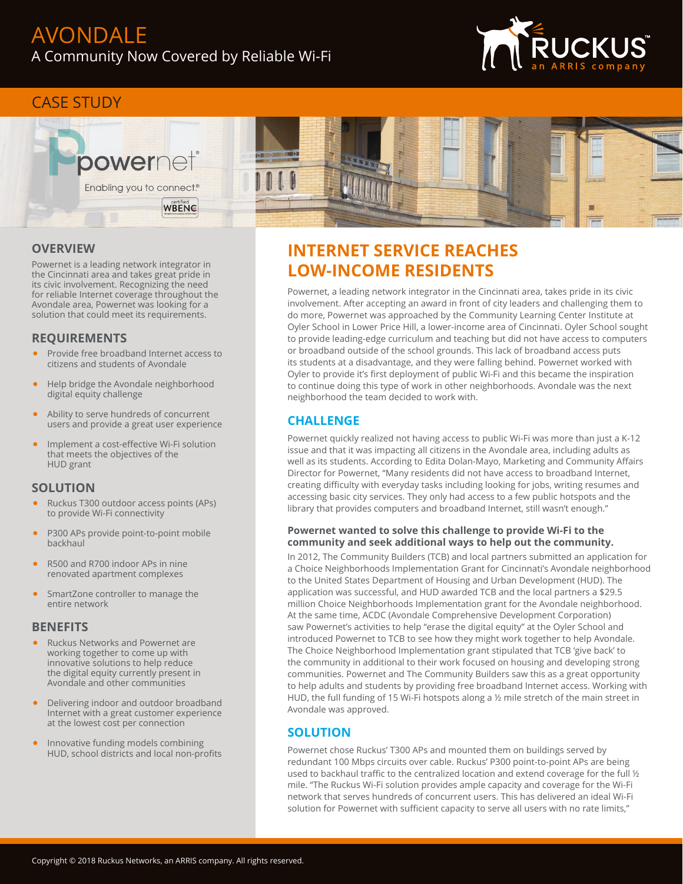

## CASE STUDY



## **OVERVIEW**

Powernet is a leading network integrator in the Cincinnati area and takes great pride in its civic involvement. Recognizing the need for reliable Internet coverage throughout the Avondale area, Powernet was looking for a solution that could meet its requirements.

## **REQUIREMENTS**

- Provide free broadband Internet access to citizens and students of Avondale
- Help bridge the Avondale neighborhood digital equity challenge
- Ability to serve hundreds of concurrent users and provide a great user experience
- Implement a cost-effective Wi-Fi solution that meets the objectives of the HUD grant

## **SOLUTION**

- Ruckus T300 outdoor access points (APs) to provide Wi-Fi connectivity
- P300 APs provide point-to-point mobile backhaul
- R500 and R700 indoor APs in nine renovated apartment complexes
- SmartZone controller to manage the entire network

## **BENEFITS**

- Ruckus Networks and Powernet are working together to come up with innovative solutions to help reduce the digital equity currently present in Avondale and other communities
- Delivering indoor and outdoor broadband Internet with a great customer experience at the lowest cost per connection
- Innovative funding models combining HUD, school districts and local non-profits

# **INTERNET SERVICE REACHES LOW-INCOME RESIDENTS**

Powernet, a leading network integrator in the Cincinnati area, takes pride in its civic involvement. After accepting an award in front of city leaders and challenging them to do more, Powernet was approached by the Community Learning Center Institute at Oyler School in Lower Price Hill, a lower-income area of Cincinnati. Oyler School sought to provide leading-edge curriculum and teaching but did not have access to computers or broadband outside of the school grounds. This lack of broadband access puts its students at a disadvantage, and they were falling behind. Powernet worked with Oyler to provide it's first deployment of public Wi-Fi and this became the inspiration to continue doing this type of work in other neighborhoods. Avondale was the next neighborhood the team decided to work with.

## **CHALLENGE**

Powernet quickly realized not having access to public Wi-Fi was more than just a K-12 issue and that it was impacting all citizens in the Avondale area, including adults as well as its students. According to Edita Dolan-Mayo, Marketing and Community Affairs Director for Powernet, "Many residents did not have access to broadband Internet, creating difficulty with everyday tasks including looking for jobs, writing resumes and accessing basic city services. They only had access to a few public hotspots and the library that provides computers and broadband Internet, still wasn't enough."

### **Powernet wanted to solve this challenge to provide Wi-Fi to the community and seek additional ways to help out the community.**

In 2012, The Community Builders (TCB) and local partners submitted an application for a Choice Neighborhoods Implementation Grant for Cincinnati's Avondale neighborhood to the United States Department of Housing and Urban Development (HUD). The application was successful, and HUD awarded TCB and the local partners a \$29.5 million Choice Neighborhoods Implementation grant for the Avondale neighborhood. At the same time, ACDC (Avondale Comprehensive Development Corporation) saw Powernet's activities to help "erase the digital equity" at the Oyler School and introduced Powernet to TCB to see how they might work together to help Avondale. The Choice Neighborhood Implementation grant stipulated that TCB 'give back' to the community in additional to their work focused on housing and developing strong communities. Powernet and The Community Builders saw this as a great opportunity to help adults and students by providing free broadband Internet access. Working with HUD, the full funding of 15 Wi-Fi hotspots along a ½ mile stretch of the main street in Avondale was approved.

## **SOLUTION**

Powernet chose Ruckus' T300 APs and mounted them on buildings served by redundant 100 Mbps circuits over cable. Ruckus' P300 point-to-point APs are being used to backhaul traffic to the centralized location and extend coverage for the full 1/2 mile. "The Ruckus Wi-Fi solution provides ample capacity and coverage for the Wi-Fi network that serves hundreds of concurrent users. This has delivered an ideal Wi-Fi solution for Powernet with sufficient capacity to serve all users with no rate limits,"